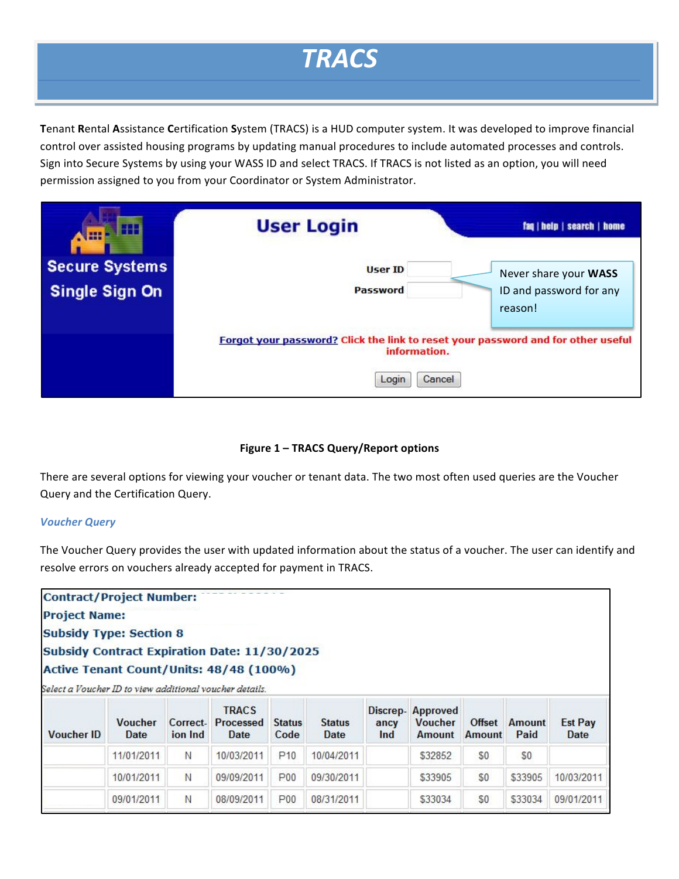# *TRACS*

**Tenant Rental Assistance Certification System (TRACS) is a HUD computer system. It was developed to improve financial** control over assisted housing programs by updating manual procedures to include automated processes and controls. Sign into Secure Systems by using your WASS ID and select TRACS. If TRACS is not listed as an option, you will need permission assigned to you from your Coordinator or System Administrator.

| H<br><b>Allie</b>                              | <b>User Login</b>                                                                                                   | faq   help   search   home                       |
|------------------------------------------------|---------------------------------------------------------------------------------------------------------------------|--------------------------------------------------|
| <b>Secure Systems</b><br><b>Single Sign On</b> | <b>User ID</b><br><b>Password</b>                                                                                   | Never share your WASS<br>ID and password for any |
|                                                |                                                                                                                     | reason!                                          |
|                                                | Forgot your password? Click the link to reset your password and for other useful<br>information.<br>Login<br>Cancel |                                                  |

## **Figure 1 – TRACS Query/Report options**

There are several options for viewing your voucher or tenant data. The two most often used queries are the Voucher Query and the Certification Query.

## *Voucher Query*

The Voucher Query provides the user with updated information about the status of a voucher. The user can identify and resolve errors on vouchers already accepted for payment in TRACS.

**Contract/Project Number: Project Name: Subsidy Type: Section 8** Subsidy Contract Expiration Date: 11/30/2025 Active Tenant Count/Units: 48/48 (100%)

Select a Voucher ID to view additional voucher details.

| <b>Voucher ID</b> | <b>Voucher</b><br>Date | Correct-<br>ion Ind | <b>TRACS</b><br>Processed<br>Date | <b>Status</b><br>Code | <b>Status</b><br><b>Date</b> | ancy<br>Ind | Discrep-Approved<br><b>Voucher</b><br>Amount | Offset<br>Amount | <b>Amount</b><br>Paid | <b>Est Pay</b><br><b>Date</b> |
|-------------------|------------------------|---------------------|-----------------------------------|-----------------------|------------------------------|-------------|----------------------------------------------|------------------|-----------------------|-------------------------------|
|                   | 11/01/2011             | N                   | 10/03/2011                        | P <sub>10</sub>       | 10/04/2011                   |             | \$32852                                      | \$0              | \$0                   |                               |
|                   | 10/01/2011             | N                   | 09/09/2011                        | P <sub>00</sub>       | 09/30/2011                   |             | \$33905                                      | \$0              | \$33905               | 10/03/2011                    |
|                   | 09/01/2011             | N                   | 08/09/2011                        | P <sub>00</sub>       | 08/31/2011                   |             | \$33034                                      | \$0              | \$33034               | 09/01/2011                    |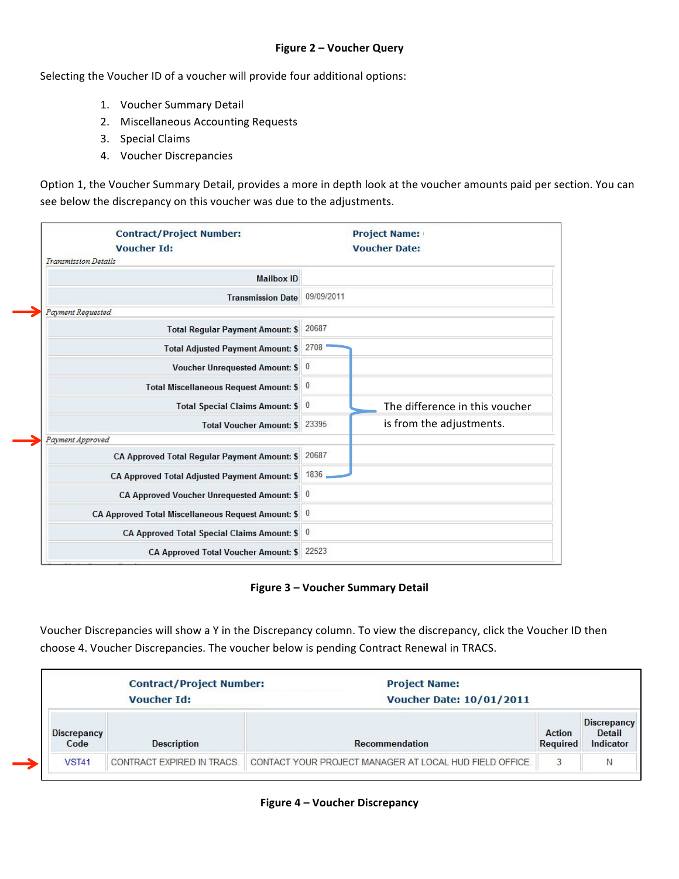## **Figure 2 – Voucher Query**

Selecting the Voucher ID of a voucher will provide four additional options:

- 1. Voucher Summary Detail
- 2. Miscellaneous Accounting Requests
- 3. Special Claims
- 4. Voucher Discrepancies

Option 1, the Voucher Summary Detail, provides a more in depth look at the voucher amounts paid per section. You can see below the discrepancy on this voucher was due to the adjustments.

| <b>Contract/Project Number:</b><br><b>Voucher Id:</b><br><b>Transmission Details</b> |            | <b>Project Name:</b><br><b>Voucher Date:</b> |
|--------------------------------------------------------------------------------------|------------|----------------------------------------------|
| <b>Mailbox ID</b>                                                                    |            |                                              |
| <b>Transmission Date</b>                                                             | 09/09/2011 |                                              |
| Payment Requested                                                                    |            |                                              |
| <b>Total Regular Payment Amount: \$</b>                                              | 20687      |                                              |
| <b>Total Adjusted Payment Amount: \$</b>                                             | 2708       |                                              |
| Voucher Unrequested Amount: \$ 0                                                     |            |                                              |
| Total Miscellaneous Request Amount: \$ 0                                             |            |                                              |
| Total Special Claims Amount: \$ 0                                                    |            | The difference in this voucher               |
| <b>Total Voucher Amount: \$</b>                                                      | 23395      | is from the adjustments.                     |
| Payment Approved                                                                     |            |                                              |
| <b>CA Approved Total Requiar Payment Amount: \$</b>                                  | 20687      |                                              |
| CA Approved Total Adjusted Payment Amount: \$                                        | 1836       |                                              |
| CA Approved Voucher Unrequested Amount: \$ 0                                         |            |                                              |
| CA Approved Total Miscellaneous Request Amount: \$ 0                                 |            |                                              |
| CA Approved Total Special Claims Amount: \$ 0                                        |            |                                              |
| <b>CA Approved Total Voucher Amount: \$</b>                                          | 22523      |                                              |

**Figure 3 – Voucher Summary Detail**

Voucher Discrepancies will show a Y in the Discrepancy column. To view the discrepancy, click the Voucher ID then choose 4. Voucher Discrepancies. The voucher below is pending Contract Renewal in TRACS.

|                            | <b>Contract/Project Number:</b><br><b>Voucher Id:</b> | <b>Project Name:</b><br><b>Voucher Date: 10/01/2011</b> |                                  |                                                  |  |  |  |  |  |
|----------------------------|-------------------------------------------------------|---------------------------------------------------------|----------------------------------|--------------------------------------------------|--|--|--|--|--|
| <b>Discrepancy</b><br>Code | <b>Description</b>                                    | Recommendation                                          | <b>Action</b><br><b>Required</b> | <b>Discrepancy</b><br><b>Detail</b><br>Indicator |  |  |  |  |  |
| <b>VST41</b>               | CONTRACT EXPIRED IN TRACS.                            | CONTACT YOUR PROJECT MANAGER AT LOCAL HUD FIELD OFFICE. | 3                                | N                                                |  |  |  |  |  |